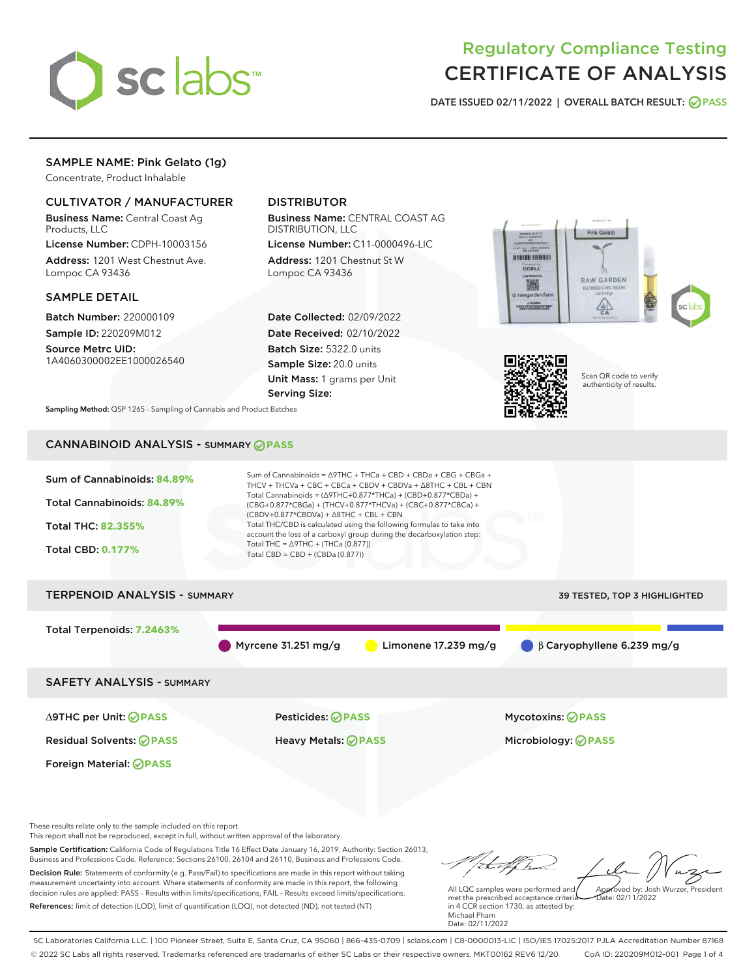

# Regulatory Compliance Testing CERTIFICATE OF ANALYSIS

DATE ISSUED 02/11/2022 | OVERALL BATCH RESULT: @ PASS

# SAMPLE NAME: Pink Gelato (1g)

Concentrate, Product Inhalable

# CULTIVATOR / MANUFACTURER

Business Name: Central Coast Ag Products, LLC

License Number: CDPH-10003156 Address: 1201 West Chestnut Ave. Lompoc CA 93436

## SAMPLE DETAIL

Batch Number: 220000109 Sample ID: 220209M012

Source Metrc UID: 1A4060300002EE1000026540

# DISTRIBUTOR

Business Name: CENTRAL COAST AG DISTRIBUTION, LLC

License Number: C11-0000496-LIC Address: 1201 Chestnut St W Lompoc CA 93436

Date Collected: 02/09/2022 Date Received: 02/10/2022 Batch Size: 5322.0 units Sample Size: 20.0 units Unit Mass: 1 grams per Unit Serving Size:





Scan QR code to verify authenticity of results.

Sampling Method: QSP 1265 - Sampling of Cannabis and Product Batches

# CANNABINOID ANALYSIS - SUMMARY **PASS**



Sample Certification: California Code of Regulations Title 16 Effect Date January 16, 2019. Authority: Section 26013, Business and Professions Code. Reference: Sections 26100, 26104 and 26110, Business and Professions Code. Decision Rule: Statements of conformity (e.g. Pass/Fail) to specifications are made in this report without taking measurement uncertainty into account. Where statements of conformity are made in this report, the following decision rules are applied: PASS – Results within limits/specifications, FAIL – Results exceed limits/specifications.

References: limit of detection (LOD), limit of quantification (LOQ), not detected (ND), not tested (NT)

tuf fra All LQC samples were performed and Approved by: Josh Wurzer, President met the prescribed acceptance criteria  $ate: 02/11/2022$ 

in 4 CCR section 1730, as attested by: Michael Pham Date: 02/11/2022

SC Laboratories California LLC. | 100 Pioneer Street, Suite E, Santa Cruz, CA 95060 | 866-435-0709 | sclabs.com | C8-0000013-LIC | ISO/IES 17025:2017 PJLA Accreditation Number 87168 © 2022 SC Labs all rights reserved. Trademarks referenced are trademarks of either SC Labs or their respective owners. MKT00162 REV6 12/20 CoA ID: 220209M012-001 Page 1 of 4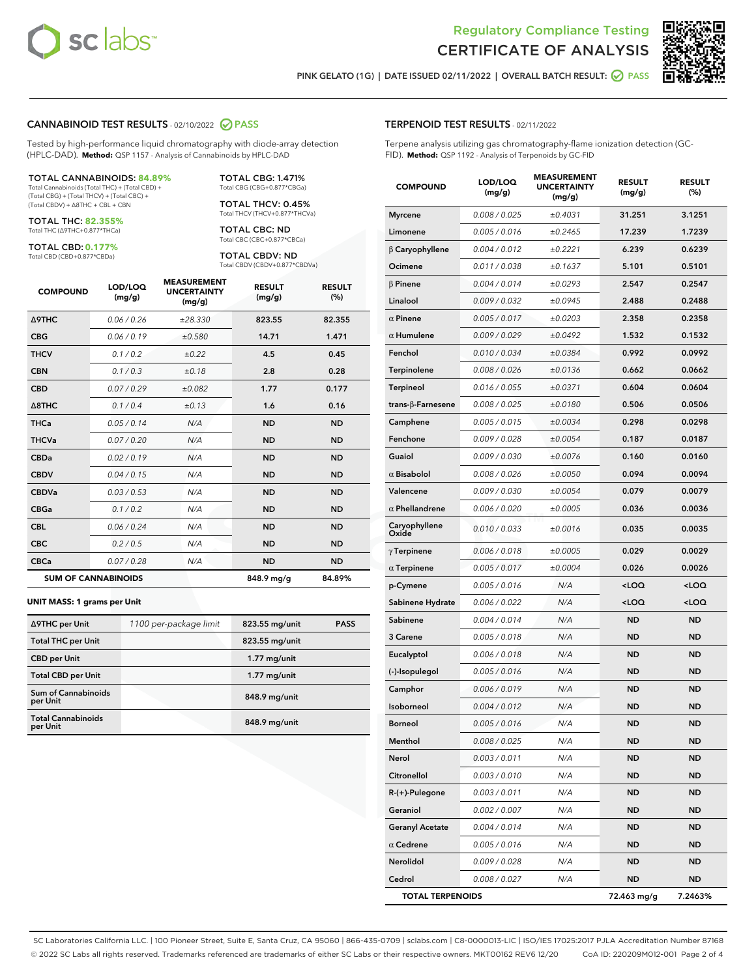

Terpene analysis utilizing gas chromatography-flame ionization detection (GC-



PINK GELATO (1G) | DATE ISSUED 02/11/2022 | OVERALL BATCH RESULT: @ PASS

TERPENOID TEST RESULTS - 02/11/2022

FID). **Method:** QSP 1192 - Analysis of Terpenoids by GC-FID

#### CANNABINOID TEST RESULTS - 02/10/2022 2 PASS

Tested by high-performance liquid chromatography with diode-array detection (HPLC-DAD). **Method:** QSP 1157 - Analysis of Cannabinoids by HPLC-DAD

#### TOTAL CANNABINOIDS: **84.89%**

Total Cannabinoids (Total THC) + (Total CBD) + (Total CBG) + (Total THCV) + (Total CBC) + (Total CBDV) + ∆8THC + CBL + CBN

TOTAL THC: **82.355%** Total THC (∆9THC+0.877\*THCa)

TOTAL CBD: **0.177%**

Total CBD (CBD+0.877\*CBDa)

TOTAL CBG: 1.471% Total CBG (CBG+0.877\*CBGa)

TOTAL THCV: 0.45% Total THCV (THCV+0.877\*THCVa)

TOTAL CBC: ND Total CBC (CBC+0.877\*CBCa)

TOTAL CBDV: ND Total CBDV (CBDV+0.877\*CBDVa)

| <b>COMPOUND</b>            | LOD/LOQ<br>(mg/g) | <b>MEASUREMENT</b><br><b>UNCERTAINTY</b><br>(mg/g) | <b>RESULT</b><br>(mg/g) | <b>RESULT</b><br>(%) |
|----------------------------|-------------------|----------------------------------------------------|-------------------------|----------------------|
| <b>A9THC</b>               | 0.06 / 0.26       | ±28.330                                            | 823.55                  | 82.355               |
| <b>CBG</b>                 | 0.06/0.19         | ±0.580                                             | 14.71                   | 1.471                |
| <b>THCV</b>                | 0.1 / 0.2         | ±0.22                                              | 4.5                     | 0.45                 |
| <b>CBN</b>                 | 0.1/0.3           | ±0.18                                              | 2.8                     | 0.28                 |
| <b>CBD</b>                 | 0.07/0.29         | ±0.082                                             | 1.77                    | 0.177                |
| $\triangle$ 8THC           | 0.1 / 0.4         | ±0.13                                              | 1.6                     | 0.16                 |
| <b>THCa</b>                | 0.05/0.14         | N/A                                                | <b>ND</b>               | <b>ND</b>            |
| <b>THCVa</b>               | 0.07/0.20         | N/A                                                | <b>ND</b>               | <b>ND</b>            |
| <b>CBDa</b>                | 0.02/0.19         | N/A                                                | <b>ND</b>               | <b>ND</b>            |
| <b>CBDV</b>                | 0.04/0.15         | N/A                                                | <b>ND</b>               | <b>ND</b>            |
| <b>CBDVa</b>               | 0.03/0.53         | N/A                                                | <b>ND</b>               | <b>ND</b>            |
| <b>CBGa</b>                | 0.1/0.2           | N/A                                                | <b>ND</b>               | <b>ND</b>            |
| <b>CBL</b>                 | 0.06 / 0.24       | N/A                                                | <b>ND</b>               | <b>ND</b>            |
| <b>CBC</b>                 | 0.2 / 0.5         | N/A                                                | <b>ND</b>               | <b>ND</b>            |
| <b>CBCa</b>                | 0.07/0.28         | N/A                                                | <b>ND</b>               | <b>ND</b>            |
| <b>SUM OF CANNABINOIDS</b> |                   |                                                    | 848.9 mg/g              | 84.89%               |

#### **UNIT MASS: 1 grams per Unit**

| ∆9THC per Unit                         | 1100 per-package limit | 823.55 mg/unit | <b>PASS</b> |
|----------------------------------------|------------------------|----------------|-------------|
| <b>Total THC per Unit</b>              |                        | 823.55 mg/unit |             |
| <b>CBD</b> per Unit                    |                        | $1.77$ mg/unit |             |
| <b>Total CBD per Unit</b>              |                        | $1.77$ mg/unit |             |
| <b>Sum of Cannabinoids</b><br>per Unit |                        | 848.9 mg/unit  |             |
| <b>Total Cannabinoids</b><br>per Unit  |                        | 848.9 mg/unit  |             |

# COMPOUND LOD/LOQ (mg/g) MEASUREMENT UNCERTAINTY (mg/g) RESULT (mg/g) RESULT (%) Myrcene 0.008 / 0.025  $\pm 0.4031$  31.251 3.1251 Limonene  $0.005 / 0.016$   $\pm 0.2465$  17.239 1.7239 β Caryophyllene 0.004 / 0.012 ± 0.2221 6.239 0.6239 **Ocimene** 0.011/0.038 ±0.1637 **5.101 0.5101**  $β$  Pinene  $0.004 / 0.014$   $± 0.0293$  2.547 0.2547 Linalool  $0.009 / 0.032$   $\pm 0.0945$  2.488 0.2488  $\alpha$  Pinene  $0.005 / 0.017$   $\pm 0.0203$  2.358 0.2358  $α$  Humulene  $0.009 / 0.029$   $± 0.0492$  1.532 0.1532 Fenchol  $0.010 / 0.034$   $\pm 0.0384$  0.992 0.0992 Terpinolene 0.008 / 0.026 ± 0.0136 0.662 0.0662 Terpineol 0.016/0.055  $\pm 0.0371$  0.604 0.0604 trans-β-Farnesene 0.008 / 0.025 ± 0.0180 0.506 0.0506 Camphene  $0.005 / 0.015$   $\pm 0.0034$  0.298 0.0298 Fenchone 0.009/0.028  $\pm 0.0054$  0.187 0.0187 Guaiol 0.009 / 0.030 ± 0.0076 0.160 0.0160  $\alpha$  Bisabolol 0.008 / 0.026 ±0.0050 0.094 0.0094 Valencene  $0.009 / 0.030$   $\pm 0.0054$  0.079 0.0079  $α$  Phellandrene  $0.006 / 0.020$   $± 0.0005$  0.036 0.0036 Caryophyllene Caryophyllene  $0.010 / 0.033$   $\pm 0.0016$  0.035 0.0035  $γ$ Terpinene  $0.006 / 0.018$   $± 0.0005$  0.029 0.0029  $α$  Terpinene  $0.005 / 0.017$   $± 0.0004$  0.026 0.0026 p-Cymene 0.005 / 0.016 N/A <LOQ <LOQ Sabinene Hydrate  $0.006 / 0.022$   $N/A$  <LOQ <LOQ **Sabinene** 0.004 / 0.014 N/A ND ND ND **3 Carene 10.005 / 0.018 N/A ND ND ND** Eucalyptol 0.006 / 0.018 N/A ND ND (-)-Isopulegol 0.005 / 0.016 N/A ND ND Camphor 0.006 / 0.019 N/A ND ND Isoborneol 0.004 / 0.012 N/A ND ND **Borneol 0.005 / 0.016 N/A ND ND ND** Menthol 0.008 / 0.025 N/A ND ND Nerol 0.003 / 0.011 N/A ND ND Citronellol 0.003 / 0.010 N/A ND ND R-(+)-Pulegone 0.003 / 0.011 N/A ND ND

Geraniol 0.002 / 0.007 N/A ND ND Geranyl Acetate 0.004/0.014 N/A ND ND  $\alpha$  Cedrene  $0.005 / 0.016$  N/A ND ND Nerolidol 0.009 / 0.028 N/A ND ND Cedrol 0.008 / 0.027 N/A ND ND TOTAL TERPENOIDS 72.463 mg/g 7.2463%

SC Laboratories California LLC. | 100 Pioneer Street, Suite E, Santa Cruz, CA 95060 | 866-435-0709 | sclabs.com | C8-0000013-LIC | ISO/IES 17025:2017 PJLA Accreditation Number 87168 © 2022 SC Labs all rights reserved. Trademarks referenced are trademarks of either SC Labs or their respective owners. MKT00162 REV6 12/20 CoA ID: 220209M012-001 Page 2 of 4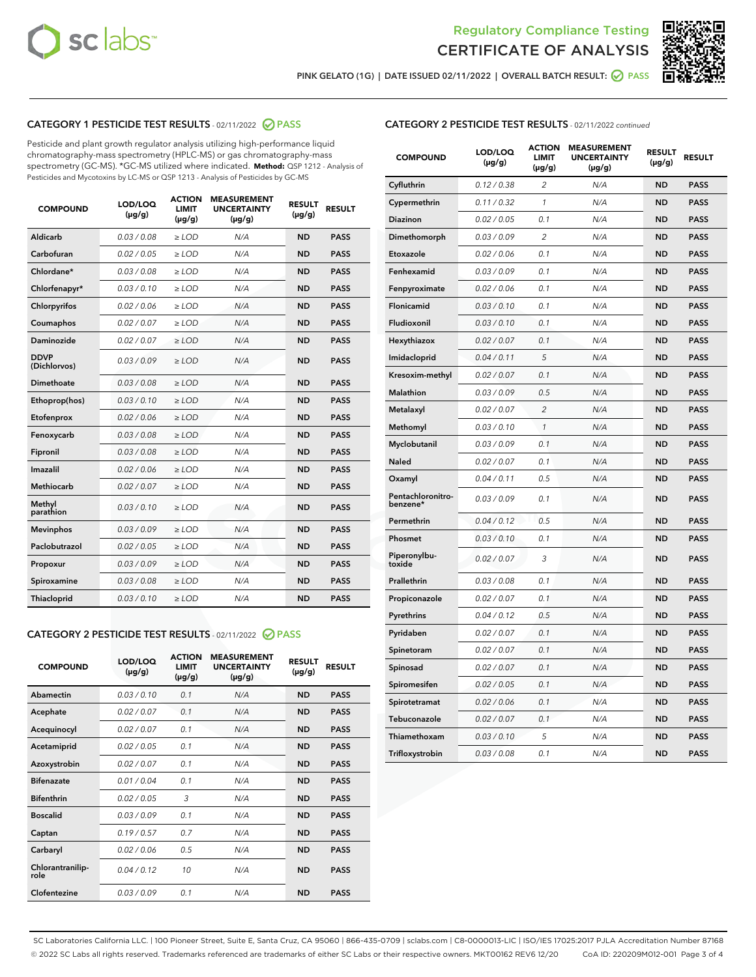



PINK GELATO (1G) | DATE ISSUED 02/11/2022 | OVERALL BATCH RESULT:  $\bigcirc$  PASS

# CATEGORY 1 PESTICIDE TEST RESULTS - 02/11/2022 2 PASS

Pesticide and plant growth regulator analysis utilizing high-performance liquid chromatography-mass spectrometry (HPLC-MS) or gas chromatography-mass spectrometry (GC-MS). \*GC-MS utilized where indicated. **Method:** QSP 1212 - Analysis of Pesticides and Mycotoxins by LC-MS or QSP 1213 - Analysis of Pesticides by GC-MS

| <b>COMPOUND</b>             | LOD/LOQ<br>$(\mu g/g)$ | <b>ACTION</b><br><b>LIMIT</b><br>$(\mu g/g)$ | <b>MEASUREMENT</b><br><b>UNCERTAINTY</b><br>$(\mu g/g)$ | <b>RESULT</b><br>$(\mu g/g)$ | <b>RESULT</b> |
|-----------------------------|------------------------|----------------------------------------------|---------------------------------------------------------|------------------------------|---------------|
| Aldicarb                    | 0.03 / 0.08            | $\ge$ LOD                                    | N/A                                                     | <b>ND</b>                    | <b>PASS</b>   |
| Carbofuran                  | 0.02/0.05              | $\ge$ LOD                                    | N/A                                                     | <b>ND</b>                    | <b>PASS</b>   |
| Chlordane*                  | 0.03 / 0.08            | $>$ LOD                                      | N/A                                                     | <b>ND</b>                    | <b>PASS</b>   |
| Chlorfenapyr*               | 0.03/0.10              | $>$ LOD                                      | N/A                                                     | <b>ND</b>                    | <b>PASS</b>   |
| Chlorpyrifos                | 0.02 / 0.06            | $\ge$ LOD                                    | N/A                                                     | <b>ND</b>                    | <b>PASS</b>   |
| Coumaphos                   | 0.02 / 0.07            | $\ge$ LOD                                    | N/A                                                     | <b>ND</b>                    | <b>PASS</b>   |
| Daminozide                  | 0.02 / 0.07            | $\ge$ LOD                                    | N/A                                                     | <b>ND</b>                    | <b>PASS</b>   |
| <b>DDVP</b><br>(Dichlorvos) | 0.03/0.09              | $\ge$ LOD                                    | N/A                                                     | <b>ND</b>                    | <b>PASS</b>   |
| Dimethoate                  | 0.03 / 0.08            | $\ge$ LOD                                    | N/A                                                     | <b>ND</b>                    | <b>PASS</b>   |
| Ethoprop(hos)               | 0.03/0.10              | $>$ LOD                                      | N/A                                                     | <b>ND</b>                    | <b>PASS</b>   |
| Etofenprox                  | 0.02 / 0.06            | $\ge$ LOD                                    | N/A                                                     | <b>ND</b>                    | <b>PASS</b>   |
| Fenoxycarb                  | 0.03/0.08              | $\ge$ LOD                                    | N/A                                                     | <b>ND</b>                    | <b>PASS</b>   |
| Fipronil                    | 0.03 / 0.08            | $\ge$ LOD                                    | N/A                                                     | <b>ND</b>                    | <b>PASS</b>   |
| Imazalil                    | 0.02 / 0.06            | $>$ LOD                                      | N/A                                                     | <b>ND</b>                    | <b>PASS</b>   |
| Methiocarb                  | 0.02 / 0.07            | $\ge$ LOD                                    | N/A                                                     | <b>ND</b>                    | <b>PASS</b>   |
| Methyl<br>parathion         | 0.03/0.10              | $\ge$ LOD                                    | N/A                                                     | <b>ND</b>                    | <b>PASS</b>   |
| <b>Mevinphos</b>            | 0.03/0.09              | $\ge$ LOD                                    | N/A                                                     | <b>ND</b>                    | <b>PASS</b>   |
| Paclobutrazol               | 0.02 / 0.05            | $\ge$ LOD                                    | N/A                                                     | <b>ND</b>                    | <b>PASS</b>   |
| Propoxur                    | 0.03/0.09              | $\ge$ LOD                                    | N/A                                                     | <b>ND</b>                    | <b>PASS</b>   |
| Spiroxamine                 | 0.03 / 0.08            | $\ge$ LOD                                    | N/A                                                     | <b>ND</b>                    | <b>PASS</b>   |
| Thiacloprid                 | 0.03/0.10              | $\ge$ LOD                                    | N/A                                                     | <b>ND</b>                    | <b>PASS</b>   |

#### CATEGORY 2 PESTICIDE TEST RESULTS - 02/11/2022 2 PASS

| <b>COMPOUND</b>          | LOD/LOO<br>$(\mu g/g)$ | <b>ACTION</b><br>LIMIT<br>$(\mu g/g)$ | <b>MEASUREMENT</b><br><b>UNCERTAINTY</b><br>$(\mu g/g)$ | <b>RESULT</b><br>$(\mu g/g)$ | <b>RESULT</b> |  |
|--------------------------|------------------------|---------------------------------------|---------------------------------------------------------|------------------------------|---------------|--|
| Abamectin                | 0.03/0.10              | 0.1                                   | N/A                                                     | <b>ND</b>                    | <b>PASS</b>   |  |
| Acephate                 | 0.02/0.07              | 0.1                                   | N/A                                                     | <b>ND</b>                    | <b>PASS</b>   |  |
| Acequinocyl              | 0.02/0.07              | 0.1                                   | N/A                                                     | <b>ND</b>                    | <b>PASS</b>   |  |
| Acetamiprid              | 0.02 / 0.05            | 0.1                                   | N/A                                                     | <b>ND</b>                    | <b>PASS</b>   |  |
| Azoxystrobin             | 0.02/0.07              | 0.1                                   | N/A                                                     | <b>ND</b>                    | <b>PASS</b>   |  |
| <b>Bifenazate</b>        | 0.01 / 0.04            | 0.1                                   | N/A                                                     | <b>ND</b>                    | <b>PASS</b>   |  |
| <b>Bifenthrin</b>        | 0.02 / 0.05            | 3                                     | N/A                                                     | <b>ND</b>                    | <b>PASS</b>   |  |
| <b>Boscalid</b>          | 0.03/0.09              | 0.1                                   | N/A                                                     | <b>ND</b>                    | <b>PASS</b>   |  |
| Captan                   | 0.19/0.57              | 0.7                                   | N/A                                                     | <b>ND</b>                    | <b>PASS</b>   |  |
| Carbaryl                 | 0.02/0.06              | 0.5                                   | N/A                                                     | <b>ND</b>                    | <b>PASS</b>   |  |
| Chlorantranilip-<br>role | 0.04/0.12              | 10                                    | N/A                                                     | <b>ND</b>                    | <b>PASS</b>   |  |
| Clofentezine             | 0.03/0.09              | 0.1                                   | N/A                                                     | <b>ND</b>                    | <b>PASS</b>   |  |

| <b>CATEGORY 2 PESTICIDE TEST RESULTS</b> - 02/11/2022 continued |
|-----------------------------------------------------------------|
|-----------------------------------------------------------------|

| <b>COMPOUND</b>               | LOD/LOQ<br>(µg/g) | <b>ACTION</b><br>LIMIT<br>$(\mu g/g)$ | <b>MEASUREMENT</b><br><b>UNCERTAINTY</b><br>$(\mu g/g)$ | <b>RESULT</b><br>(µg/g) | <b>RESULT</b> |
|-------------------------------|-------------------|---------------------------------------|---------------------------------------------------------|-------------------------|---------------|
| Cyfluthrin                    | 0.12 / 0.38       | 2                                     | N/A                                                     | <b>ND</b>               | <b>PASS</b>   |
| Cypermethrin                  | 0.11 / 0.32       | 1                                     | N/A                                                     | <b>ND</b>               | <b>PASS</b>   |
| Diazinon                      | 0.02 / 0.05       | 0.1                                   | N/A                                                     | ND                      | PASS          |
| Dimethomorph                  | 0.03 / 0.09       | 2                                     | N/A                                                     | <b>ND</b>               | <b>PASS</b>   |
| Etoxazole                     | 0.02 / 0.06       | 0.1                                   | N/A                                                     | ND                      | <b>PASS</b>   |
| Fenhexamid                    | 0.03 / 0.09       | 0.1                                   | N/A                                                     | ND                      | <b>PASS</b>   |
| Fenpyroximate                 | 0.02 / 0.06       | 0.1                                   | N/A                                                     | <b>ND</b>               | <b>PASS</b>   |
| Flonicamid                    | 0.03 / 0.10       | 0.1                                   | N/A                                                     | <b>ND</b>               | <b>PASS</b>   |
| Fludioxonil                   | 0.03 / 0.10       | 0.1                                   | N/A                                                     | <b>ND</b>               | <b>PASS</b>   |
| Hexythiazox                   | 0.02 / 0.07       | 0.1                                   | N/A                                                     | ND                      | <b>PASS</b>   |
| Imidacloprid                  | 0.04 / 0.11       | 5                                     | N/A                                                     | <b>ND</b>               | <b>PASS</b>   |
| Kresoxim-methyl               | 0.02 / 0.07       | 0.1                                   | N/A                                                     | ND                      | <b>PASS</b>   |
| Malathion                     | 0.03 / 0.09       | 0.5                                   | N/A                                                     | ND                      | <b>PASS</b>   |
| Metalaxyl                     | 0.02 / 0.07       | $\overline{2}$                        | N/A                                                     | <b>ND</b>               | <b>PASS</b>   |
| Methomyl                      | 0.03 / 0.10       | 1                                     | N/A                                                     | <b>ND</b>               | <b>PASS</b>   |
| Myclobutanil                  | 0.03 / 0.09       | 0.1                                   | N/A                                                     | ND                      | <b>PASS</b>   |
| <b>Naled</b>                  | 0.02 / 0.07       | 0.1                                   | N/A                                                     | ND                      | <b>PASS</b>   |
| Oxamyl                        | 0.04 / 0.11       | 0.5                                   | N/A                                                     | ND                      | <b>PASS</b>   |
| Pentachloronitro-<br>benzene* | 0.03/0.09         | 0.1                                   | N/A                                                     | ND                      | <b>PASS</b>   |
| Permethrin                    | 0.04 / 0.12       | 0.5                                   | N/A                                                     | ND                      | PASS          |
| Phosmet                       | 0.03 / 0.10       | 0.1                                   | N/A                                                     | <b>ND</b>               | <b>PASS</b>   |
| Piperonylbu-<br>toxide        | 0.02 / 0.07       | 3                                     | N/A                                                     | ND                      | <b>PASS</b>   |
| Prallethrin                   | 0.03 / 0.08       | 0.1                                   | N/A                                                     | <b>ND</b>               | <b>PASS</b>   |
| Propiconazole                 | 0.02 / 0.07       | 0.1                                   | N/A                                                     | ND                      | <b>PASS</b>   |
| Pyrethrins                    | 0.04 / 0.12       | 0.5                                   | N/A                                                     | ND                      | <b>PASS</b>   |
| Pyridaben                     | 0.02 / 0.07       | 0.1                                   | N/A                                                     | ND                      | <b>PASS</b>   |
| Spinetoram                    | 0.02 / 0.07       | 0.1                                   | N/A                                                     | ND                      | <b>PASS</b>   |
| Spinosad                      | 0.02 / 0.07       | 0.1                                   | N/A                                                     | ND                      | <b>PASS</b>   |
| Spiromesifen                  | 0.02 / 0.05       | 0.1                                   | N/A                                                     | ND                      | <b>PASS</b>   |
| Spirotetramat                 | 0.02 / 0.06       | 0.1                                   | N/A                                                     | ND                      | <b>PASS</b>   |
| Tebuconazole                  | 0.02 / 0.07       | 0.1                                   | N/A                                                     | ND                      | <b>PASS</b>   |
| Thiamethoxam                  | 0.03 / 0.10       | 5                                     | N/A                                                     | ND                      | <b>PASS</b>   |
| Trifloxystrobin               | 0.03 / 0.08       | 0.1                                   | N/A                                                     | ND                      | <b>PASS</b>   |

SC Laboratories California LLC. | 100 Pioneer Street, Suite E, Santa Cruz, CA 95060 | 866-435-0709 | sclabs.com | C8-0000013-LIC | ISO/IES 17025:2017 PJLA Accreditation Number 87168 © 2022 SC Labs all rights reserved. Trademarks referenced are trademarks of either SC Labs or their respective owners. MKT00162 REV6 12/20 CoA ID: 220209M012-001 Page 3 of 4